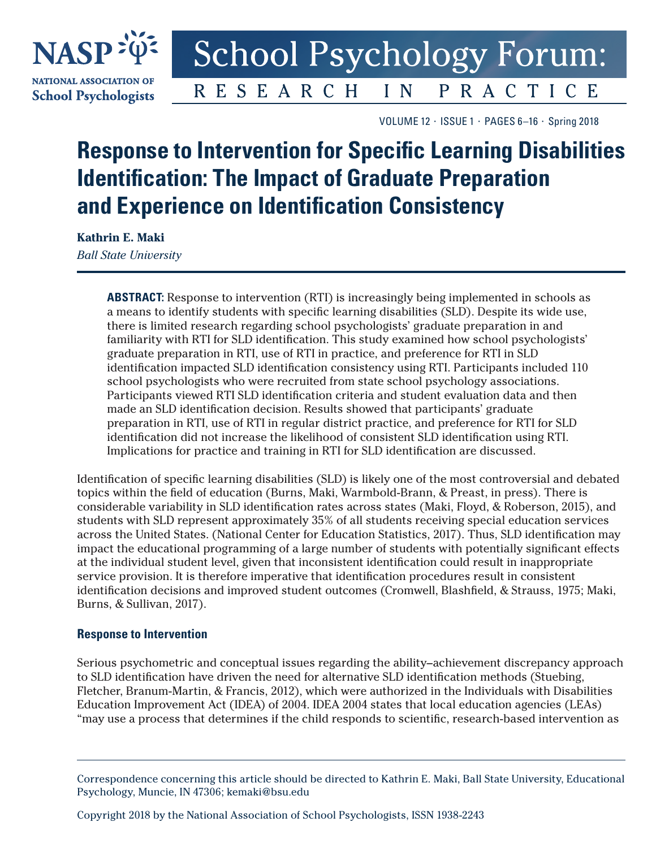

# **School Psychology Forum: RESEARCH** PRACTICE  $I N$

VOLUME 12 ⋅ ISSUE 1 ⋅ PAGES 6–16 ⋅ Spring 2018

# **Response to Intervention for Specific Learning Disabilities Identification: The Impact of Graduate Preparation and Experience on Identification Consistency**

**Kathrin E. Maki**

*Ball State University*

**ABSTRACT:** Response to intervention (RTI) is increasingly being implemented in schools as a means to identify students with specific learning disabilities (SLD). Despite its wide use, there is limited research regarding school psychologists' graduate preparation in and familiarity with RTI for SLD identification. This study examined how school psychologists' graduate preparation in RTI, use of RTI in practice, and preference for RTI in SLD identification impacted SLD identification consistency using RTI. Participants included 110 school psychologists who were recruited from state school psychology associations. Participants viewed RTI SLD identification criteria and student evaluation data and then made an SLD identification decision. Results showed that participants' graduate preparation in RTI, use of RTI in regular district practice, and preference for RTI for SLD identification did not increase the likelihood of consistent SLD identification using RTI. Implications for practice and training in RTI for SLD identification are discussed.

Identification of specific learning disabilities (SLD) is likely one of the most controversial and debated topics within the field of education (Burns, Maki, Warmbold-Brann, & Preast, in press). There is considerable variability in SLD identification rates across states (Maki, Floyd, & Roberson, 2015), and students with SLD represent approximately 35% of all students receiving special education services across the United States. (National Center for Education Statistics, 2017). Thus, SLD identification may impact the educational programming of a large number of students with potentially significant effects at the individual student level, given that inconsistent identification could result in inappropriate service provision. It is therefore imperative that identification procedures result in consistent identification decisions and improved student outcomes (Cromwell, Blashfield, & Strauss, 1975; Maki, Burns, & Sullivan, 2017).

#### **Response to Intervention**

Serious psychometric and conceptual issues regarding the ability–achievement discrepancy approach to SLD identification have driven the need for alternative SLD identification methods (Stuebing, Fletcher, Branum-Martin, & Francis, 2012), which were authorized in the Individuals with Disabilities Education Improvement Act (IDEA) of 2004. IDEA 2004 states that local education agencies (LEAs) "may use a process that determines if the child responds to scientific, research-based intervention as

Copyright 2018 by the National Association of School Psychologists, ISSN 1938-2243

Correspondence concerning this article should be directed to Kathrin E. Maki, Ball State University, Educational Psychology, Muncie, IN 47306; [kemaki@bsu.edu](mailto://kemaki@bsu.edu)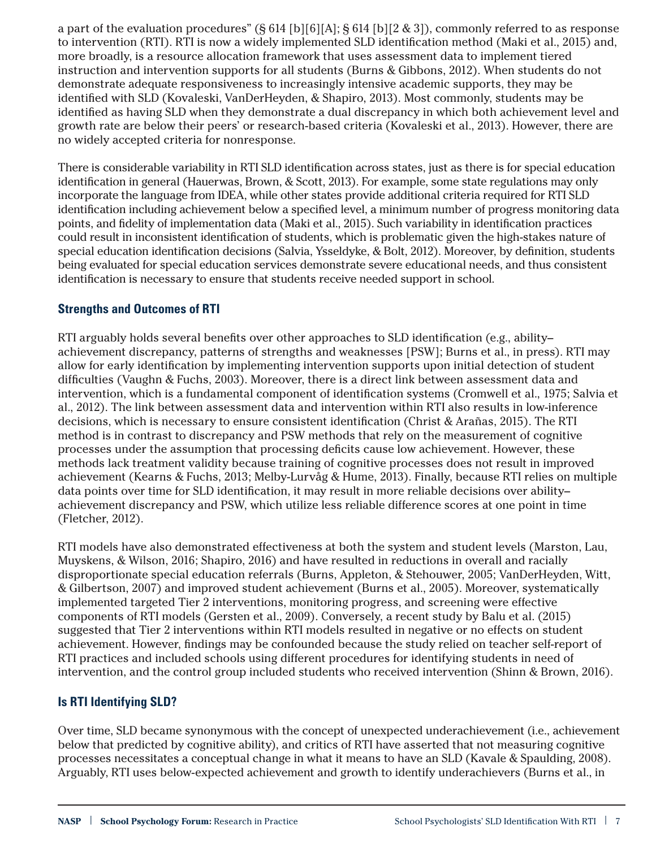a part of the evaluation procedures" (§ 614 [b][6][A]; § 614 [b][2 & 3]), commonly referred to as response to intervention (RTI). RTI is now a widely implemented SLD identification method (Maki et al., 2015) and, more broadly, is a resource allocation framework that uses assessment data to implement tiered instruction and intervention supports for all students (Burns & Gibbons, 2012). When students do not demonstrate adequate responsiveness to increasingly intensive academic supports, they may be identified with SLD (Kovaleski, VanDerHeyden, & Shapiro, 2013). Most commonly, students may be identified as having SLD when they demonstrate a dual discrepancy in which both achievement level and growth rate are below their peers' or research-based criteria (Kovaleski et al., 2013). However, there are no widely accepted criteria for nonresponse.

There is considerable variability in RTI SLD identification across states, just as there is for special education identification in general (Hauerwas, Brown, & Scott, 2013). For example, some state regulations may only incorporate the language from IDEA, while other states provide additional criteria required for RTI SLD identification including achievement below a specified level, a minimum number of progress monitoring data points, and fidelity of implementation data (Maki et al., 2015). Such variability in identification practices could result in inconsistent identification of students, which is problematic given the high-stakes nature of special education identification decisions (Salvia, Ysseldyke, & Bolt, 2012). Moreover, by definition, students being evaluated for special education services demonstrate severe educational needs, and thus consistent identification is necessary to ensure that students receive needed support in school.

## **Strengths and Outcomes of RTI**

RTI arguably holds several benefits over other approaches to SLD identification (e.g., ability– achievement discrepancy, patterns of strengths and weaknesses [PSW]; Burns et al., in press). RTI may allow for early identification by implementing intervention supports upon initial detection of student difficulties (Vaughn & Fuchs, 2003). Moreover, there is a direct link between assessment data and intervention, which is a fundamental component of identification systems (Cromwell et al., 1975; Salvia et al., 2012). The link between assessment data and intervention within RTI also results in low-inference decisions, which is necessary to ensure consistent identification (Christ & Arañas, 2015). The RTI method is in contrast to discrepancy and PSW methods that rely on the measurement of cognitive processes under the assumption that processing deficits cause low achievement. However, these methods lack treatment validity because training of cognitive processes does not result in improved achievement (Kearns & Fuchs, 2013; Melby-Lurvåg & Hume, 2013). Finally, because RTI relies on multiple data points over time for SLD identification, it may result in more reliable decisions over ability– achievement discrepancy and PSW, which utilize less reliable difference scores at one point in time (Fletcher, 2012).

RTI models have also demonstrated effectiveness at both the system and student levels (Marston, Lau, Muyskens, & Wilson, 2016; Shapiro, 2016) and have resulted in reductions in overall and racially disproportionate special education referrals (Burns, Appleton, & Stehouwer, 2005; VanDerHeyden, Witt, & Gilbertson, 2007) and improved student achievement (Burns et al., 2005). Moreover, systematically implemented targeted Tier 2 interventions, monitoring progress, and screening were effective components of RTI models (Gersten et al., 2009). Conversely, a recent study by Balu et al. (2015) suggested that Tier 2 interventions within RTI models resulted in negative or no effects on student achievement. However, findings may be confounded because the study relied on teacher self-report of RTI practices and included schools using different procedures for identifying students in need of intervention, and the control group included students who received intervention (Shinn & Brown, 2016).

## **Is RTI Identifying SLD?**

Over time, SLD became synonymous with the concept of unexpected underachievement (i.e., achievement below that predicted by cognitive ability), and critics of RTI have asserted that not measuring cognitive processes necessitates a conceptual change in what it means to have an SLD (Kavale & Spaulding, 2008). Arguably, RTI uses below-expected achievement and growth to identify underachievers (Burns et al., in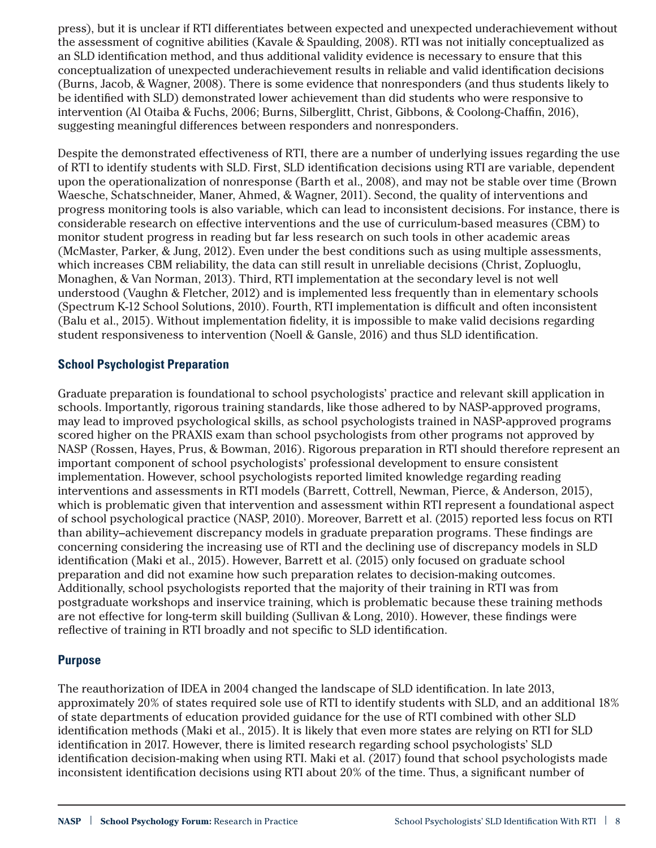press), but it is unclear if RTI differentiates between expected and unexpected underachievement without the assessment of cognitive abilities (Kavale & Spaulding, 2008). RTI was not initially conceptualized as an SLD identification method, and thus additional validity evidence is necessary to ensure that this conceptualization of unexpected underachievement results in reliable and valid identification decisions (Burns, Jacob, & Wagner, 2008). There is some evidence that nonresponders (and thus students likely to be identified with SLD) demonstrated lower achievement than did students who were responsive to intervention (Al Otaiba & Fuchs, 2006; Burns, Silberglitt, Christ, Gibbons, & Coolong-Chaffin, 2016), suggesting meaningful differences between responders and nonresponders.

Despite the demonstrated effectiveness of RTI, there are a number of underlying issues regarding the use of RTI to identify students with SLD. First, SLD identification decisions using RTI are variable, dependent upon the operationalization of nonresponse (Barth et al., 2008), and may not be stable over time (Brown Waesche, Schatschneider, Maner, Ahmed, & Wagner, 2011). Second, the quality of interventions and progress monitoring tools is also variable, which can lead to inconsistent decisions. For instance, there is considerable research on effective interventions and the use of curriculum-based measures (CBM) to monitor student progress in reading but far less research on such tools in other academic areas (McMaster, Parker, & Jung, 2012). Even under the best conditions such as using multiple assessments, which increases CBM reliability, the data can still result in unreliable decisions (Christ, Zopluoglu, Monaghen, & Van Norman, 2013). Third, RTI implementation at the secondary level is not well understood (Vaughn & Fletcher, 2012) and is implemented less frequently than in elementary schools (Spectrum K-12 School Solutions, 2010). Fourth, RTI implementation is difficult and often inconsistent (Balu et al., 2015). Without implementation fidelity, it is impossible to make valid decisions regarding student responsiveness to intervention (Noell & Gansle, 2016) and thus SLD identification.

## **School Psychologist Preparation**

Graduate preparation is foundational to school psychologists' practice and relevant skill application in schools. Importantly, rigorous training standards, like those adhered to by NASP-approved programs, may lead to improved psychological skills, as school psychologists trained in NASP-approved programs scored higher on the PRAXIS exam than school psychologists from other programs not approved by NASP (Rossen, Hayes, Prus, & Bowman, 2016). Rigorous preparation in RTI should therefore represent an important component of school psychologists' professional development to ensure consistent implementation. However, school psychologists reported limited knowledge regarding reading interventions and assessments in RTI models (Barrett, Cottrell, Newman, Pierce, & Anderson, 2015), which is problematic given that intervention and assessment within RTI represent a foundational aspect of school psychological practice (NASP, 2010). Moreover, Barrett et al. (2015) reported less focus on RTI than ability–achievement discrepancy models in graduate preparation programs. These findings are concerning considering the increasing use of RTI and the declining use of discrepancy models in SLD identification (Maki et al., 2015). However, Barrett et al. (2015) only focused on graduate school preparation and did not examine how such preparation relates to decision-making outcomes. Additionally, school psychologists reported that the majority of their training in RTI was from postgraduate workshops and inservice training, which is problematic because these training methods are not effective for long-term skill building (Sullivan & Long, 2010). However, these findings were reflective of training in RTI broadly and not specific to SLD identification.

#### **Purpose**

The reauthorization of IDEA in 2004 changed the landscape of SLD identification. In late 2013, approximately 20% of states required sole use of RTI to identify students with SLD, and an additional 18% of state departments of education provided guidance for the use of RTI combined with other SLD identification methods (Maki et al., 2015). It is likely that even more states are relying on RTI for SLD identification in 2017. However, there is limited research regarding school psychologists' SLD identification decision-making when using RTI. Maki et al. (2017) found that school psychologists made inconsistent identification decisions using RTI about 20% of the time. Thus, a significant number of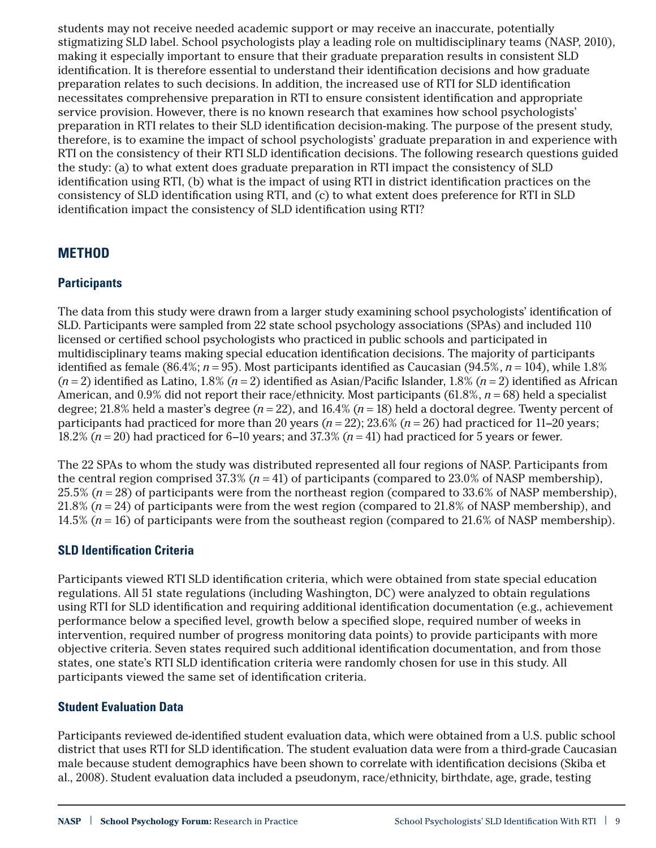students may not receive needed academic support or may receive an inaccurate, potentially stigmatizing SLD label. School psychologists play a leading role on multidisciplinary teams (NASP, 2010), making it especially important to ensure that their graduate preparation results in consistent SLD identification. It is therefore essential to understand their identification decisions and how graduate preparation relates to such decisions. In addition, the increased use of RTI for SLD identification necessitates comprehensive preparation in RTI to ensure consistent identification and appropriate service provision. However, there is no known research that examines how school psychologists' preparation in RTI relates to their SLD identification decision-making. The purpose of the present study, therefore, is to examine the impact of school psychologists' graduate preparation in and experience with RTI on the consistency of their RTI SLD identification decisions. The following research questions guided the study: (a) to what extent does graduate preparation in RTI impact the consistency of SLD identification using RTI, (b) what is the impact of using RTI in district identification practices on the consistency of SLD identification using RTI, and (c) to what extent does preference for RTI in SLD identification impact the consistency of SLD identification using RTI?

## **METHOD**

#### **Participants**

The data from this study were drawn from a larger study examining school psychologists' identification of SLD. Participants were sampled from 22 state school psychology associations (SPAs) and included 110 licensed or certified school psychologists who practiced in public schools and participated in multidisciplinary teams making special education identification decisions. The majority of participants identified as female (86.4%; *n* = 95). Most participants identified as Caucasian (94.5%, *n* = 104), while 1.8% (*n* = 2) identified as Latino, 1.8% (*n* = 2) identified as Asian/Pacific Islander, 1.8% (*n* = 2) identified as African American, and 0.9% did not report their race/ethnicity. Most participants (61.8%, *n* = 68) held a specialist degree; 21.8% held a master's degree  $(n = 22)$ , and 16.4%  $(n = 18)$  held a doctoral degree. Twenty percent of participants had practiced for more than 20 years (*n* = 22); 23.6% (*n* = 26) had practiced for 11–20 years; 18.2% (*n* = 20) had practiced for 6–10 years; and 37.3% (*n* = 41) had practiced for 5 years or fewer.

The 22 SPAs to whom the study was distributed represented all four regions of NASP. Participants from the central region comprised  $37.3\%$  ( $n = 41$ ) of participants (compared to  $23.0\%$  of NASP membership), 25.5% (*n* = 28) of participants were from the northeast region (compared to 33.6% of NASP membership), 21.8% (*n* = 24) of participants were from the west region (compared to 21.8% of NASP membership), and 14.5% (*n* = 16) of participants were from the southeast region (compared to 21.6% of NASP membership).

#### **SLD Identification Criteria**

Participants viewed RTI SLD identification criteria, which were obtained from state special education regulations. All 51 state regulations (including Washington, DC) were analyzed to obtain regulations using RTI for SLD identification and requiring additional identification documentation (e.g., achievement performance below a specified level, growth below a specified slope, required number of weeks in intervention, required number of progress monitoring data points) to provide participants with more objective criteria. Seven states required such additional identification documentation, and from those states, one state's RTI SLD identification criteria were randomly chosen for use in this study. All participants viewed the same set of identification criteria.

#### **Student Evaluation Data**

Participants reviewed de-identified student evaluation data, which were obtained from a U.S. public school district that uses RTI for SLD identification. The student evaluation data were from a third-grade Caucasian male because student demographics have been shown to correlate with identification decisions (Skiba et al., 2008). Student evaluation data included a pseudonym, race/ethnicity, birthdate, age, grade, testing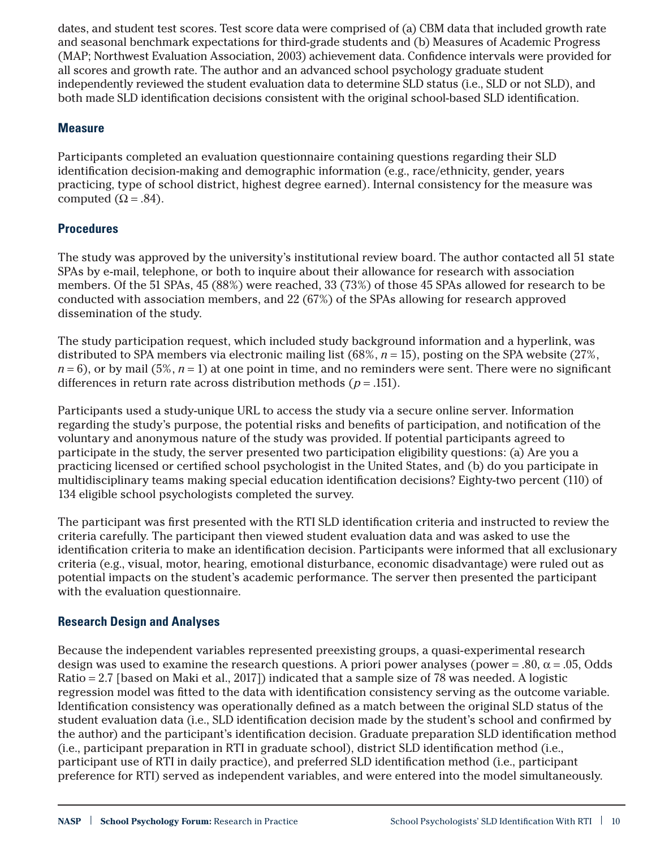dates, and student test scores. Test score data were comprised of (a) CBM data that included growth rate and seasonal benchmark expectations for third-grade students and (b) Measures of Academic Progress (MAP; Northwest Evaluation Association, 2003) achievement data. Confidence intervals were provided for all scores and growth rate. The author and an advanced school psychology graduate student independently reviewed the student evaluation data to determine SLD status (i.e., SLD or not SLD), and both made SLD identification decisions consistent with the original school-based SLD identification.

#### **Measure**

Participants completed an evaluation questionnaire containing questions regarding their SLD identification decision-making and demographic information (e.g., race/ethnicity, gender, years practicing, type of school district, highest degree earned). Internal consistency for the measure was computed  $(\Omega = .84)$ .

## **Procedures**

The study was approved by the university's institutional review board. The author contacted all 51 state SPAs by e-mail, telephone, or both to inquire about their allowance for research with association members. Of the 51 SPAs, 45 (88%) were reached, 33 (73%) of those 45 SPAs allowed for research to be conducted with association members, and 22 (67%) of the SPAs allowing for research approved dissemination of the study.

The study participation request, which included study background information and a hyperlink, was distributed to SPA members via electronic mailing list (68%, *n* = 15), posting on the SPA website (27%,  $n = 6$ ), or by mail (5%,  $n = 1$ ) at one point in time, and no reminders were sent. There were no significant differences in return rate across distribution methods (*p* = .151).

Participants used a study-unique URL to access the study via a secure online server. Information regarding the study's purpose, the potential risks and benefits of participation, and notification of the voluntary and anonymous nature of the study was provided. If potential participants agreed to participate in the study, the server presented two participation eligibility questions: (a) Are you a practicing licensed or certified school psychologist in the United States, and (b) do you participate in multidisciplinary teams making special education identification decisions? Eighty-two percent (110) of 134 eligible school psychologists completed the survey.

The participant was first presented with the RTI SLD identification criteria and instructed to review the criteria carefully. The participant then viewed student evaluation data and was asked to use the identification criteria to make an identification decision. Participants were informed that all exclusionary criteria (e.g., visual, motor, hearing, emotional disturbance, economic disadvantage) were ruled out as potential impacts on the student's academic performance. The server then presented the participant with the evaluation questionnaire.

## **Research Design and Analyses**

Because the independent variables represented preexisting groups, a quasi-experimental research design was used to examine the research questions. A priori power analyses (power = .80,  $\alpha$  = .05, Odds Ratio = 2.7 [based on Maki et al., 2017]) indicated that a sample size of 78 was needed. A logistic regression model was fitted to the data with identification consistency serving as the outcome variable. Identification consistency was operationally defined as a match between the original SLD status of the student evaluation data (i.e., SLD identification decision made by the student's school and confirmed by the author) and the participant's identification decision. Graduate preparation SLD identification method (i.e., participant preparation in RTI in graduate school), district SLD identification method (i.e., participant use of RTI in daily practice), and preferred SLD identification method (i.e., participant preference for RTI) served as independent variables, and were entered into the model simultaneously.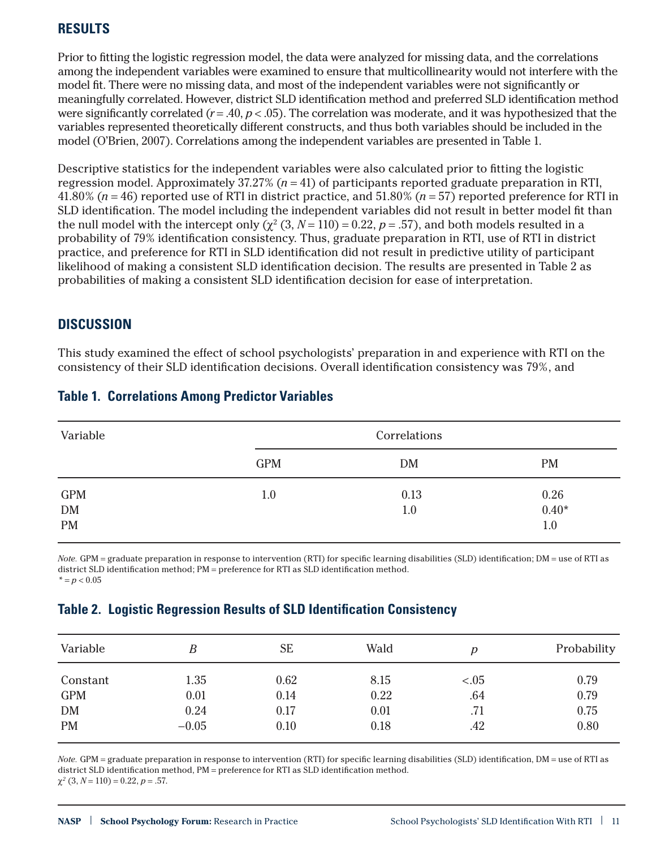## **RESULTS**

Prior to fitting the logistic regression model, the data were analyzed for missing data, and the correlations among the independent variables were examined to ensure that multicollinearity would not interfere with the model fit. There were no missing data, and most of the independent variables were not significantly or meaningfully correlated. However, district SLD identification method and preferred SLD identification method were significantly correlated  $(r = .40, p < .05)$ . The correlation was moderate, and it was hypothesized that the variables represented theoretically different constructs, and thus both variables should be included in the model (O'Brien, 2007). Correlations among the independent variables are presented in [Table 1](#page-5-0).

Descriptive statistics for the independent variables were also calculated prior to fitting the logistic regression model. Approximately 37.27% (*n* = 41) of participants reported graduate preparation in RTI, 41.80% (*n* = 46) reported use of RTI in district practice, and 51.80% (*n* = 57) reported preference for RTI in SLD identification. The model including the independent variables did not result in better model fit than the null model with the intercept only  $(\chi^2 (3, N = 110) = 0.22, p = .57)$ , and both models resulted in a probability of 79% identification consistency. Thus, graduate preparation in RTI, use of RTI in district practice, and preference for RTI in SLD identification did not result in predictive utility of participant likelihood of making a consistent SLD identification decision. The results are presented in [Table 2](#page-5-1) as probabilities of making a consistent SLD identification decision for ease of interpretation.

## **DISCUSSION**

This study examined the effect of school psychologists' preparation in and experience with RTI on the consistency of their SLD identification decisions. Overall identification consistency was 79%, and

| Variable                      | Correlations |             |                             |  |  |
|-------------------------------|--------------|-------------|-----------------------------|--|--|
|                               | <b>GPM</b>   | <b>DM</b>   | <b>PM</b>                   |  |  |
| <b>GPM</b><br>DM<br><b>PM</b> | 1.0          | 0.13<br>1.0 | $0.26\atop 0.40^{*}$<br>1.0 |  |  |

## <span id="page-5-0"></span>**Table 1. Correlations Among Predictor Variables**

*Note.* GPM = graduate preparation in response to intervention (RTI) for specific learning disabilities (SLD) identification; DM = use of RTI as district SLD identification method; PM = preference for RTI as SLD identification method.  $* = p < 0.05$ 

## <span id="page-5-1"></span>**Table 2. Logistic Regression Results of SLD Identification Consistency**

| Variable   | В       | <b>SE</b> | Wald | n      | Probability |
|------------|---------|-----------|------|--------|-------------|
| Constant   | 1.35    | 0.62      | 8.15 | < 0.05 | 0.79        |
| <b>GPM</b> | 0.01    | 0.14      | 0.22 | .64    | 0.79        |
| <b>DM</b>  | 0.24    | 0.17      | 0.01 | .71    | 0.75        |
| <b>PM</b>  | $-0.05$ | 0.10      | 0.18 | .42    | 0.80        |

*Note.* GPM = graduate preparation in response to intervention (RTI) for specific learning disabilities (SLD) identification, DM = use of RTI as district SLD identification method, PM = preference for RTI as SLD identification method.  $\chi^2$  (3, *N* = 110) = 0.22, *p* = .57.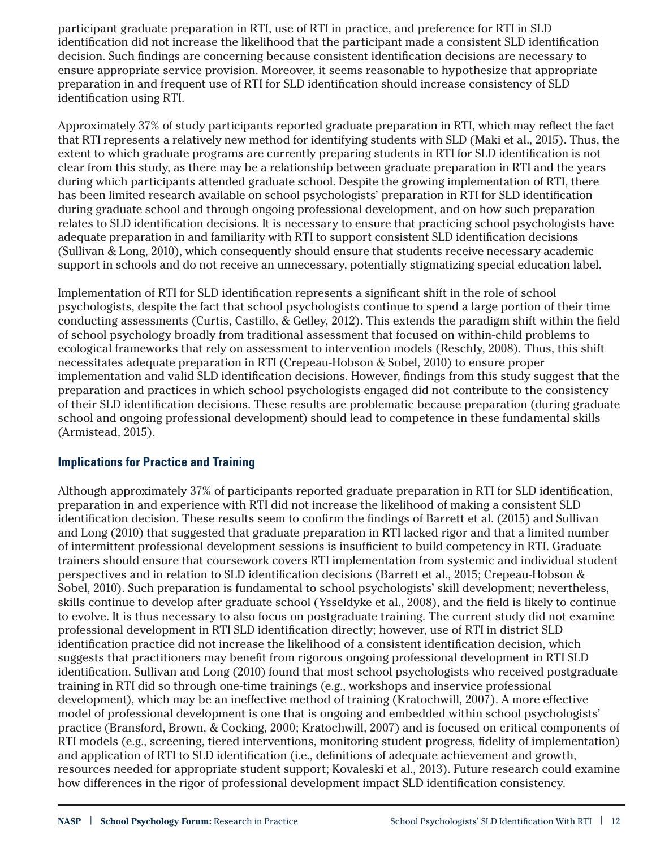participant graduate preparation in RTI, use of RTI in practice, and preference for RTI in SLD identification did not increase the likelihood that the participant made a consistent SLD identification decision. Such findings are concerning because consistent identification decisions are necessary to ensure appropriate service provision. Moreover, it seems reasonable to hypothesize that appropriate preparation in and frequent use of RTI for SLD identification should increase consistency of SLD identification using RTI.

Approximately 37% of study participants reported graduate preparation in RTI, which may reflect the fact that RTI represents a relatively new method for identifying students with SLD (Maki et al., 2015). Thus, the extent to which graduate programs are currently preparing students in RTI for SLD identification is not clear from this study, as there may be a relationship between graduate preparation in RTI and the years during which participants attended graduate school. Despite the growing implementation of RTI, there has been limited research available on school psychologists' preparation in RTI for SLD identification during graduate school and through ongoing professional development, and on how such preparation relates to SLD identification decisions. It is necessary to ensure that practicing school psychologists have adequate preparation in and familiarity with RTI to support consistent SLD identification decisions (Sullivan & Long, 2010), which consequently should ensure that students receive necessary academic support in schools and do not receive an unnecessary, potentially stigmatizing special education label.

Implementation of RTI for SLD identification represents a significant shift in the role of school psychologists, despite the fact that school psychologists continue to spend a large portion of their time conducting assessments (Curtis, Castillo, & Gelley, 2012). This extends the paradigm shift within the field of school psychology broadly from traditional assessment that focused on within-child problems to ecological frameworks that rely on assessment to intervention models (Reschly, 2008). Thus, this shift necessitates adequate preparation in RTI (Crepeau-Hobson & Sobel, 2010) to ensure proper implementation and valid SLD identification decisions. However, findings from this study suggest that the preparation and practices in which school psychologists engaged did not contribute to the consistency of their SLD identification decisions. These results are problematic because preparation (during graduate school and ongoing professional development) should lead to competence in these fundamental skills (Armistead, 2015).

#### **Implications for Practice and Training**

Although approximately 37% of participants reported graduate preparation in RTI for SLD identification, preparation in and experience with RTI did not increase the likelihood of making a consistent SLD identification decision. These results seem to confirm the findings of Barrett et al. (2015) and Sullivan and Long (2010) that suggested that graduate preparation in RTI lacked rigor and that a limited number of intermittent professional development sessions is insufficient to build competency in RTI. Graduate trainers should ensure that coursework covers RTI implementation from systemic and individual student perspectives and in relation to SLD identification decisions (Barrett et al., 2015; Crepeau-Hobson & Sobel, 2010). Such preparation is fundamental to school psychologists' skill development; nevertheless, skills continue to develop after graduate school (Ysseldyke et al., 2008), and the field is likely to continue to evolve. It is thus necessary to also focus on postgraduate training. The current study did not examine professional development in RTI SLD identification directly; however, use of RTI in district SLD identification practice did not increase the likelihood of a consistent identification decision, which suggests that practitioners may benefit from rigorous ongoing professional development in RTI SLD identification. Sullivan and Long (2010) found that most school psychologists who received postgraduate training in RTI did so through one-time trainings (e.g., workshops and inservice professional development), which may be an ineffective method of training (Kratochwill, 2007). A more effective model of professional development is one that is ongoing and embedded within school psychologists' practice (Bransford, Brown, & Cocking, 2000; Kratochwill, 2007) and is focused on critical components of RTI models (e.g., screening, tiered interventions, monitoring student progress, fidelity of implementation) and application of RTI to SLD identification (i.e., definitions of adequate achievement and growth, resources needed for appropriate student support; Kovaleski et al., 2013). Future research could examine how differences in the rigor of professional development impact SLD identification consistency.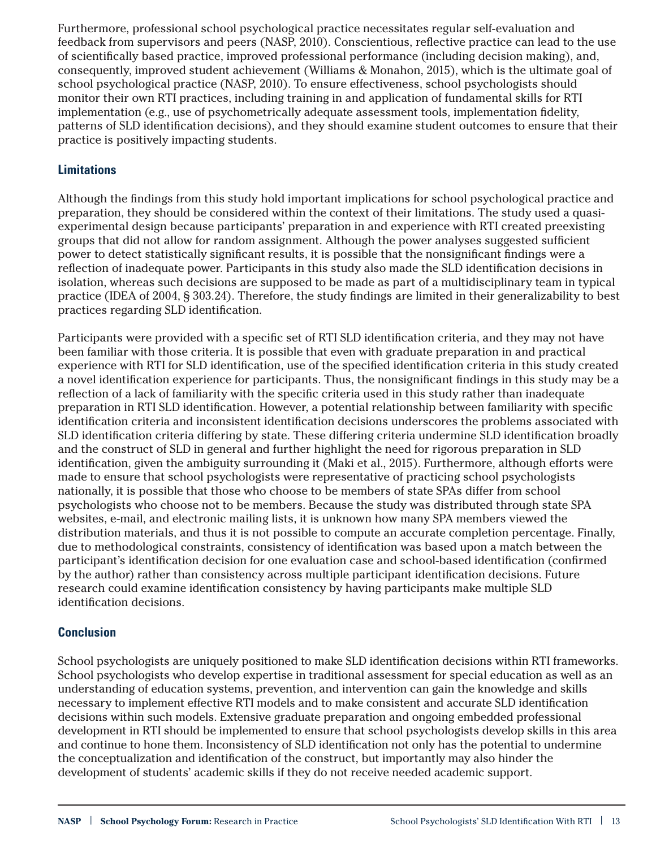Furthermore, professional school psychological practice necessitates regular self-evaluation and feedback from supervisors and peers (NASP, 2010). Conscientious, reflective practice can lead to the use of scientifically based practice, improved professional performance (including decision making), and, consequently, improved student achievement (Williams & Monahon, 2015), which is the ultimate goal of school psychological practice (NASP, 2010). To ensure effectiveness, school psychologists should monitor their own RTI practices, including training in and application of fundamental skills for RTI implementation (e.g., use of psychometrically adequate assessment tools, implementation fidelity, patterns of SLD identification decisions), and they should examine student outcomes to ensure that their practice is positively impacting students.

#### **Limitations**

Although the findings from this study hold important implications for school psychological practice and preparation, they should be considered within the context of their limitations. The study used a quasiexperimental design because participants' preparation in and experience with RTI created preexisting groups that did not allow for random assignment. Although the power analyses suggested sufficient power to detect statistically significant results, it is possible that the nonsignificant findings were a reflection of inadequate power. Participants in this study also made the SLD identification decisions in isolation, whereas such decisions are supposed to be made as part of a multidisciplinary team in typical practice (IDEA of 2004, § 303.24). Therefore, the study findings are limited in their generalizability to best practices regarding SLD identification.

Participants were provided with a specific set of RTI SLD identification criteria, and they may not have been familiar with those criteria. It is possible that even with graduate preparation in and practical experience with RTI for SLD identification, use of the specified identification criteria in this study created a novel identification experience for participants. Thus, the nonsignificant findings in this study may be a reflection of a lack of familiarity with the specific criteria used in this study rather than inadequate preparation in RTI SLD identification. However, a potential relationship between familiarity with specific identification criteria and inconsistent identification decisions underscores the problems associated with SLD identification criteria differing by state. These differing criteria undermine SLD identification broadly and the construct of SLD in general and further highlight the need for rigorous preparation in SLD identification, given the ambiguity surrounding it (Maki et al., 2015). Furthermore, although efforts were made to ensure that school psychologists were representative of practicing school psychologists nationally, it is possible that those who choose to be members of state SPAs differ from school psychologists who choose not to be members. Because the study was distributed through state SPA websites, e-mail, and electronic mailing lists, it is unknown how many SPA members viewed the distribution materials, and thus it is not possible to compute an accurate completion percentage. Finally, due to methodological constraints, consistency of identification was based upon a match between the participant's identification decision for one evaluation case and school-based identification (confirmed by the author) rather than consistency across multiple participant identification decisions. Future research could examine identification consistency by having participants make multiple SLD identification decisions.

#### **Conclusion**

School psychologists are uniquely positioned to make SLD identification decisions within RTI frameworks. School psychologists who develop expertise in traditional assessment for special education as well as an understanding of education systems, prevention, and intervention can gain the knowledge and skills necessary to implement effective RTI models and to make consistent and accurate SLD identification decisions within such models. Extensive graduate preparation and ongoing embedded professional development in RTI should be implemented to ensure that school psychologists develop skills in this area and continue to hone them. Inconsistency of SLD identification not only has the potential to undermine the conceptualization and identification of the construct, but importantly may also hinder the development of students' academic skills if they do not receive needed academic support.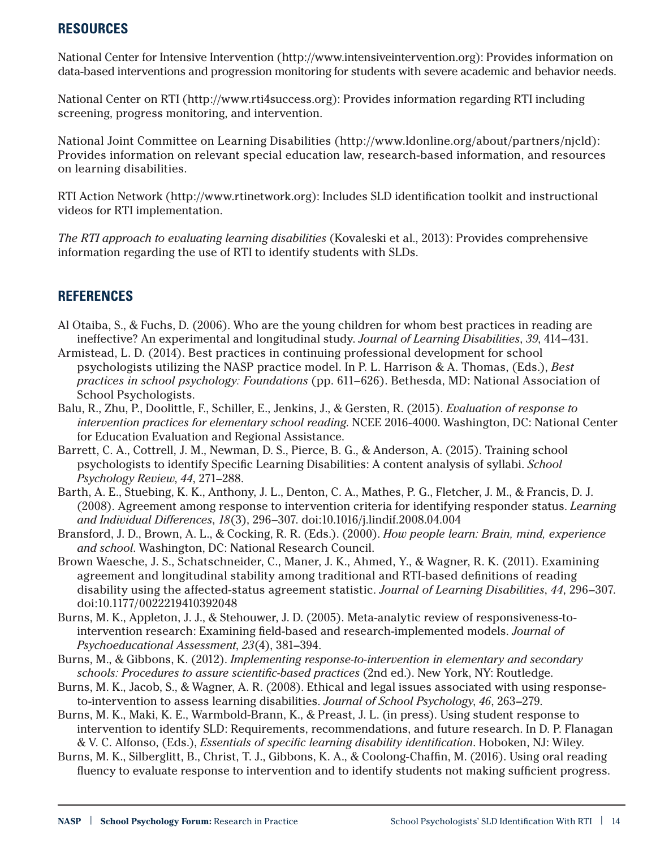## **RESOURCES**

National Center for Intensive Intervention ([http://www.intensiveintervention.org](http://www.intensiveintervention.org/)): Provides information on data-based interventions and progression monitoring for students with severe academic and behavior needs.

National Center on RTI ([http://www.rti4success.org](http://www.rti4success.org/)): Provides information regarding RTI including screening, progress monitoring, and intervention.

National Joint Committee on Learning Disabilities ([http://www.ldonline.org/about/partners/njcld\)](http://www.ldonline.org/about/partners/njcld): Provides information on relevant special education law, research-based information, and resources on learning disabilities.

RTI Action Network ([http://www.rtinetwork.org\)](http://www.rtinetwork.org/): Includes SLD identification toolkit and instructional videos for RTI implementation.

*The RTI approach to evaluating learning disabilities* (Kovaleski et al., 2013): Provides comprehensive information regarding the use of RTI to identify students with SLDs.

# **REFERENCES**

- Al Otaiba, S., & Fuchs, D. (2006). Who are the young children for whom best practices in reading are ineffective? An experimental and longitudinal study. *Journal of Learning Disabilities*, *39*, 414–431.
- Armistead, L. D. (2014). Best practices in continuing professional development for school psychologists utilizing the NASP practice model. In P. L. Harrison & A. Thomas, (Eds.), *Best practices in school psychology: Foundations* (pp. 611–626). Bethesda, MD: National Association of School Psychologists.
- Balu, R., Zhu, P., Doolittle, F., Schiller, E., Jenkins, J., & Gersten, R. (2015). *Evaluation of response to intervention practices for elementary school reading*. NCEE 2016-4000. Washington, DC: National Center for Education Evaluation and Regional Assistance.
- Barrett, C. A., Cottrell, J. M., Newman, D. S., Pierce, B. G., & Anderson, A. (2015). Training school psychologists to identify Specific Learning Disabilities: A content analysis of syllabi. *School Psychology Review*, *44*, 271–288.
- Barth, A. E., Stuebing, K. K., Anthony, J. L., Denton, C. A., Mathes, P. G., Fletcher, J. M., & Francis, D. J. (2008). Agreement among response to intervention criteria for identifying responder status. *Learning and Individual Differences*, *18*(3), 296–307. doi:10.1016/j.lindif.2008.04.004
- Bransford, J. D., Brown, A. L., & Cocking, R. R. (Eds.). (2000). *How people learn: Brain, mind, experience and school*. Washington, DC: National Research Council.
- Brown Waesche, J. S., Schatschneider, C., Maner, J. K., Ahmed, Y., & Wagner, R. K. (2011). Examining agreement and longitudinal stability among traditional and RTI-based definitions of reading disability using the affected-status agreement statistic. *Journal of Learning Disabilities*, *44*, 296–307. doi:10.1177/0022219410392048
- Burns, M. K., Appleton, J. J., & Stehouwer, J. D. (2005). Meta-analytic review of responsiveness-tointervention research: Examining field-based and research-implemented models. *Journal of Psychoeducational Assessment*, *23*(4), 381–394.
- Burns, M., & Gibbons, K. (2012). *Implementing response-to-intervention in elementary and secondary schools: Procedures to assure scientific-based practices* (2nd ed.). New York, NY: Routledge.
- Burns, M. K., Jacob, S., & Wagner, A. R. (2008). Ethical and legal issues associated with using responseto-intervention to assess learning disabilities. *Journal of School Psychology*, *46*, 263–279.
- Burns, M. K., Maki, K. E., Warmbold-Brann, K., & Preast, J. L. (in press). Using student response to intervention to identify SLD: Requirements, recommendations, and future research. In D. P. Flanagan & V. C. Alfonso, (Eds.), *Essentials of specific learning disability identification*. Hoboken, NJ: Wiley.
- Burns, M. K., Silberglitt, B., Christ, T. J., Gibbons, K. A., & Coolong-Chaffin, M. (2016). Using oral reading fluency to evaluate response to intervention and to identify students not making sufficient progress.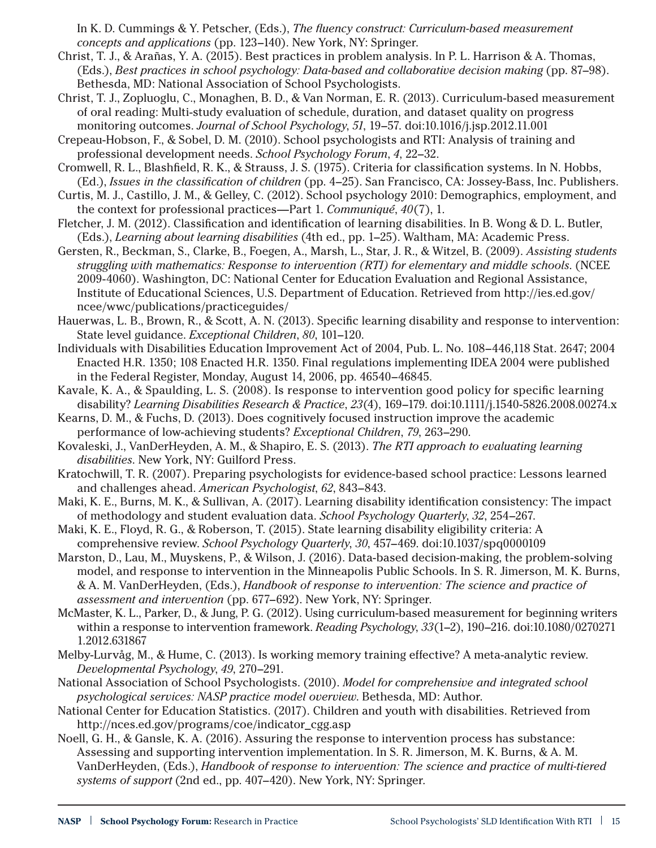In K. D. Cummings & Y. Petscher, (Eds.), *The fluency construct: Curriculum-based measurement concepts and applications* (pp. 123–140). New York, NY: Springer.

- Christ, T. J., & Arañas, Y. A. (2015). Best practices in problem analysis. In P. L. Harrison & A. Thomas, (Eds.), *Best practices in school psychology: Data-based and collaborative decision making* (pp. 87–98). Bethesda, MD: National Association of School Psychologists.
- Christ, T. J., Zopluoglu, C., Monaghen, B. D., & Van Norman, E. R. (2013). Curriculum-based measurement of oral reading: Multi-study evaluation of schedule, duration, and dataset quality on progress monitoring outcomes. *Journal of School Psychology*, *51*, 19–57. doi:10.1016/j.jsp.2012.11.001
- Crepeau-Hobson, F., & Sobel, D. M. (2010). School psychologists and RTI: Analysis of training and professional development needs. *School Psychology Forum*, *4*, 22–32.
- Cromwell, R. L., Blashfield, R. K., & Strauss, J. S. (1975). Criteria for classification systems. In N. Hobbs, (Ed.), *Issues in the classification of children* (pp. 4–25). San Francisco, CA: Jossey-Bass, Inc. Publishers.
- Curtis, M. J., Castillo, J. M., & Gelley, C. (2012). School psychology 2010: Demographics, employment, and the context for professional practices—Part 1. *Communiqué*, *40*(7), 1.
- Fletcher, J. M. (2012). Classification and identification of learning disabilities. In B. Wong & D. L. Butler, (Eds.), *Learning about learning disabilities* (4th ed., pp. 1–25). Waltham, MA: Academic Press.
- Gersten, R., Beckman, S., Clarke, B., Foegen, A., Marsh, L., Star, J. R., & Witzel, B. (2009). *Assisting students struggling with mathematics: Response to intervention (RTI) for elementary and middle schools*. (NCEE 2009-4060). Washington, DC: National Center for Education Evaluation and Regional Assistance, Institute of Educational Sciences, U.S. Department of Education. Retrieved from [http://ies.ed.gov/](http://ies.ed.gov/ncee/wwc/publications/practiceguides/) [ncee/wwc/publications/practiceguides/](http://ies.ed.gov/ncee/wwc/publications/practiceguides/)
- Hauerwas, L. B., Brown, R., & Scott, A. N. (2013). Specific learning disability and response to intervention: State level guidance. *Exceptional Children*, *80*, 101–120.
- Individuals with Disabilities Education Improvement Act of 2004, Pub. L. No. 108–446,118 Stat. 2647; 2004 Enacted H.R. 1350; 108 Enacted H.R. 1350. Final regulations implementing IDEA 2004 were published in the Federal Register, Monday, August 14, 2006, pp. 46540–46845.
- Kavale, K. A., & Spaulding, L. S. (2008). Is response to intervention good policy for specific learning disability? *Learning Disabilities Research & Practice*, *23*(4), 169–179. doi:10.1111/j.1540-5826.2008.00274.x
- Kearns, D. M., & Fuchs, D. (2013). Does cognitively focused instruction improve the academic performance of low-achieving students? *Exceptional Children*, *79*, 263–290.
- Kovaleski, J., VanDerHeyden, A. M., & Shapiro, E. S. (2013). *The RTI approach to evaluating learning disabilities*. New York, NY: Guilford Press.
- Kratochwill, T. R. (2007). Preparing psychologists for evidence-based school practice: Lessons learned and challenges ahead. *American Psychologist*, *62*, 843–843.
- Maki, K. E., Burns, M. K., & Sullivan, A. (2017). Learning disability identification consistency: The impact of methodology and student evaluation data. *School Psychology Quarterly*, *32*, 254–267.
- Maki, K. E., Floyd, R. G., & Roberson, T. (2015). State learning disability eligibility criteria: A comprehensive review. *School Psychology Quarterly*, *30*, 457–469. doi:10.1037/spq0000109
- Marston, D., Lau, M., Muyskens, P., & Wilson, J. (2016). Data-based decision-making, the problem-solving model, and response to intervention in the Minneapolis Public Schools. In S. R. Jimerson, M. K. Burns, & A. M. VanDerHeyden, (Eds.), *Handbook of response to intervention: The science and practice of assessment and intervention* (pp. 677–692). New York, NY: Springer.
- McMaster, K. L., Parker, D., & Jung, P. G. (2012). Using curriculum-based measurement for beginning writers within a response to intervention framework. *Reading Psychology*, *33*(1–2), 190–216. doi:10.1080/0270271 1.2012.631867
- Melby-Lurvåg, M., & Hume, C. (2013). Is working memory training effective? A meta-analytic review. *Developmental Psychology*, *49*, 270–291.
- National Association of School Psychologists. (2010). *Model for comprehensive and integrated school psychological services: NASP practice model overview*. Bethesda, MD: Author.
- National Center for Education Statistics. (2017). Children and youth with disabilities. Retrieved from [http://nces.ed.gov/programs/coe/indicator\\_cgg.asp](http://nces.ed.gov/programs/coe/indicator_cgg.asp)
- Noell, G. H., & Gansle, K. A. (2016). Assuring the response to intervention process has substance: Assessing and supporting intervention implementation. In S. R. Jimerson, M. K. Burns, & A. M. VanDerHeyden, (Eds.), *Handbook of response to intervention: The science and practice of multi-tiered systems of support* (2nd ed., pp. 407–420). New York, NY: Springer.